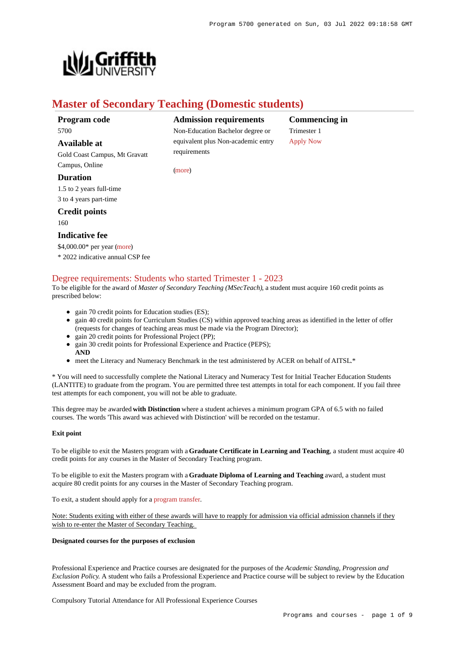

# **Master of Secondary Teaching (Domestic students)**

[\(more](https://www148.griffith.edu.au/programs-courses/Program/5700/HowToApply/Domestic#can-i-apply))

### **Program code** 5700

# **Available at**

Gold Coast Campus, Mt Gravatt Campus, Online

### **Duration**

1.5 to 2 years full-time 3 to 4 years part-time

### **Credit points**

160

### **Indicative fee**

\$4,000.00\* per year [\(more](https://www148.griffith.edu.au/programs-courses/Program/5700/Overview/Domestic#fees)) \* 2022 indicative annual CSP fee

## [Degree requirements: Students who started Trimester 1 - 2023](https://www148.griffith.edu.au/programs-courses/Program/5700/Courses/Domestic#degree-requirements)

To be eligible for the award of *Master of Secondary Teaching (MSecTeach)*, a student must acquire 160 credit points as prescribed below:

- gain 70 credit points for Education studies (ES);
- gain 40 credit points for Curriculum Studies (CS) within approved teaching areas as identified in the letter of offer (requests for changes of teaching areas must be made via the Program Director);
- gain 20 credit points for Professional Project (PP);
- gain 30 credit points for Professional Experience and Practice (PEPS); **AND**
- meet the Literacy and Numeracy Benchmark in the test administered by ACER on behalf of AITSL.\*

\* You will need to successfully complete the National Literacy and Numeracy Test for Initial Teacher Education Students (LANTITE) to graduate from the program. You are permitted three test attempts in total for each component. If you fail three test attempts for each component, you will not be able to graduate.

This degree may be awarded **with Distinction** where a student achieves a minimum program GPA of 6.5 with no failed courses. The words 'This award was achieved with Distinction' will be recorded on the testamur.

#### **Exit point**

To be eligible to exit the Masters program with a **Graduate Certificate in Learning and Teaching**, a student must acquire 40 credit points for any courses in the Master of Secondary Teaching program.

To be eligible to exit the Masters program with a **Graduate Diploma of Learning and Teaching** award, a student must acquire 80 credit points for any courses in the Master of Secondary Teaching program.

To exit, a student should apply for a [program transfer](https://www188.griffith.edu.au/internal-transfer).

Note: Students exiting with either of these awards will have to reapply for admission via official admission channels if they wish to re-enter the Master of Secondary Teaching.

#### **Designated courses for the purposes of exclusion**

Professional Experience and Practice courses are designated for the purposes of the *Academic Standing, Progression and Exclusion Policy*. A student who fails a Professional Experience and Practice course will be subject to review by the Education Assessment Board and may be excluded from the program.

Compulsory Tutorial Attendance for All Professional Experience Courses

**Admission requirements** Non-Education Bachelor degree or equivalent plus Non-academic entry requirements

**Commencing in** Trimester 1 [Apply Now](https://www148.griffith.edu.au/programs-courses/Program/5700/HowToApply/Domestic#process)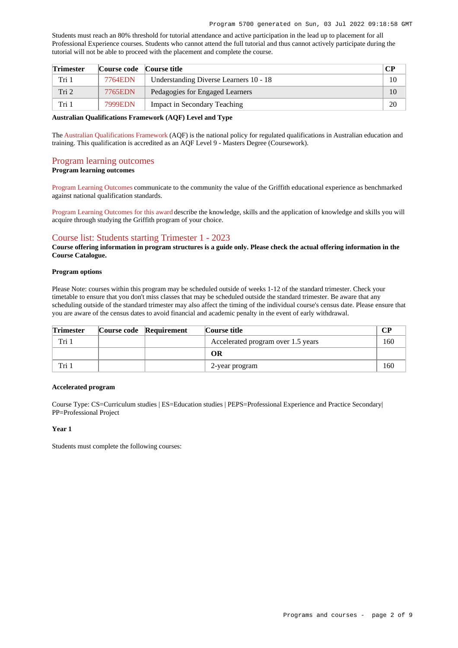Students must reach an 80% threshold for tutorial attendance and active participation in the lead up to placement for all Professional Experience courses. Students who cannot attend the full tutorial and thus cannot actively participate during the tutorial will not be able to proceed with the placement and complete the course.

| <b>Trimester</b> | Course code Course title |                                        | CР |
|------------------|--------------------------|----------------------------------------|----|
| Tri 1            | 7764EDN                  | Understanding Diverse Learners 10 - 18 | 10 |
| Tri 2            | 7765EDN                  | Pedagogies for Engaged Learners        | 10 |
| Tri 1            | 7999EDN                  | Impact in Secondary Teaching           | 20 |

#### **Australian Qualifications Framework (AQF) Level and Type**

The [Australian Qualifications Framework](http://www.aqf.edu.au/) (AQF) is the national policy for regulated qualifications in Australian education and training. This qualification is accredited as an AQF Level 9 - Masters Degree (Coursework).

#### [Program learning outcomes](https://www148.griffith.edu.au/programs-courses/Program/5700/Courses/Domestic#programLearningOutcomes)

**Program learning outcomes**

[Program Learning Outcomes](https://www.griffith.edu.au/__data/assets/pdf_file/0017/134522/PLO-general-advice.pdf) communicate to the community the value of the Griffith educational experience as benchmarked against national qualification standards.

[Program Learning Outcomes for this award](https://www.griffith.edu.au/__data/assets/pdf_file/0033/293973/MSecondary-Teaching-PLO-L9.pdf) describe the knowledge, skills and the application of knowledge and skills you will acquire through studying the Griffith program of your choice.

### [Course list: Students starting Trimester 1 - 2023](https://www148.griffith.edu.au/programs-courses/Program/5700/Courses/Domestic#course-list-content)

**Course offering information in program structures is a guide only. Please check the actual offering information in the Course Catalogue.**

#### **Program options**

Please Note: courses within this program may be scheduled outside of weeks 1-12 of the standard trimester. Check your timetable to ensure that you don't miss classes that may be scheduled outside the standard trimester. Be aware that any scheduling outside of the standard trimester may also affect the timing of the individual course's census date. Please ensure that you are aware of the census dates to avoid financial and academic penalty in the event of early withdrawal.

| <b>Trimester</b> | Course code Requirement | Course title                       |     |
|------------------|-------------------------|------------------------------------|-----|
| Tri 1            |                         | Accelerated program over 1.5 years | 160 |
|                  |                         | OR                                 |     |
| Tri 1            |                         | 2-year program                     | 160 |

#### **Accelerated program**

Course Type: CS=Curriculum studies | ES=Education studies | PEPS=Professional Experience and Practice Secondary| PP=Professional Project

#### **Year 1**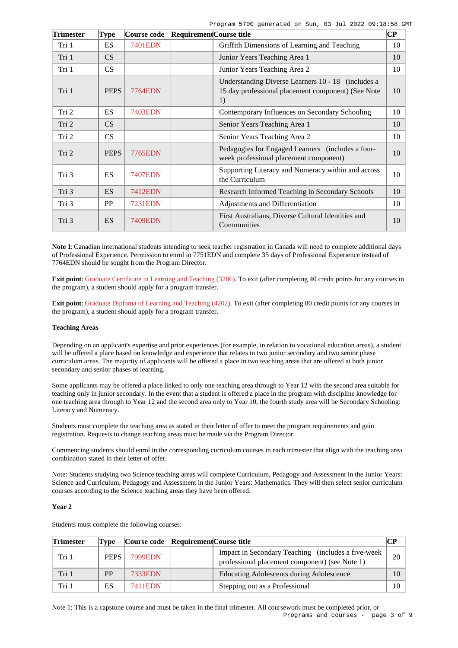Program 5700 generated on Sun, 03 Jul 2022 09:18:58 GMT

| <b>Trimester</b> | Type        | Course code    | Requirement Course title |                                                                                                                | $\overline{\mathbf{C}\mathbf{P}}$ |
|------------------|-------------|----------------|--------------------------|----------------------------------------------------------------------------------------------------------------|-----------------------------------|
| Tri 1            | <b>ES</b>   | 7401EDN        |                          | Griffith Dimensions of Learning and Teaching                                                                   | 10                                |
| Tri 1            | CS          |                |                          | Junior Years Teaching Area 1                                                                                   | 10                                |
| Tri 1            | CS          |                |                          | Junior Years Teaching Area 2                                                                                   | 10                                |
| Tri 1            | <b>PEPS</b> | <b>7764EDN</b> |                          | Understanding Diverse Learners 10 - 18 (includes a<br>15 day professional placement component) (See Note<br>1) | 10                                |
| Tri 2            | <b>ES</b>   | 7403EDN        |                          | Contemporary Influences on Secondary Schooling                                                                 | 10                                |
| Tri 2            | CS          |                |                          | Senior Years Teaching Area 1                                                                                   | 10                                |
| Tri 2            | CS          |                |                          | Senior Years Teaching Area 2                                                                                   | 10                                |
| Tri 2            | <b>PEPS</b> | 7765EDN        |                          | Pedagogies for Engaged Learners (includes a four-<br>week professional placement component)                    | 10                                |
| Tri 3            | <b>ES</b>   | <b>7407EDN</b> |                          | Supporting Literacy and Numeracy within and across<br>the Curriculum                                           | 10                                |
| Tri 3            | <b>ES</b>   | <b>7412EDN</b> |                          | Research Informed Teaching in Secondary Schools                                                                | 10                                |
| Tri 3            | PP          | 7231EDN        |                          | Adjustments and Differentiation                                                                                | 10                                |
| Tri 3            | <b>ES</b>   | 7409EDN        |                          | First Australians, Diverse Cultural Identities and<br>Communities                                              | 10                                |

**Note 1**: Canadian international students intending to seek teacher registration in Canada will need to complete additional days of Professional Experience. Permission to enrol in 7751EDN and complete 35 days of Professional Experience instead of 7764EDN should be sought from the Program Director.

**Exit point**: [Graduate Certificate in Learning and Teaching \(3286\)](https://www148.griffith.edu.au/Search/Results?SearchText=3286). To exit (after completing 40 credit points for any courses in the program), a student should apply for a program transfer.

**Exit point**: [Graduate Diploma of Learning and Teaching \(4202\)](https://www148.griffith.edu.au/Search/Results?SearchText=4202). To exit (after completing 80 credit points for any courses in the program), a student should apply for a program transfer.

#### **Teaching Areas**

Depending on an applicant's expertise and prior experiences (for example, in relation to vocational education areas), a student will be offered a place based on knowledge and experience that relates to two junior secondary and two senior phase curriculum areas. The majority of applicants will be offered a place in two teaching areas that are offered at both junior secondary and senior phases of learning.

Some applicants may be offered a place linked to only one teaching area through to Year 12 with the second area suitable for teaching only in junior secondary. In the event that a student is offered a place in the program with discipline knowledge for one teaching area through to Year 12 and the second area only to Year 10, the fourth study area will be Secondary Schooling: Literacy and Numeracy.

Students must complete the teaching area as stated in their letter of offer to meet the program requirements and gain registration. Requests to change teaching areas must be made via the Program Director.

Commencing students should enrol in the corresponding curriculum courses in each trimester that align with the teaching area combination stated in their letter of offer.

Note: Students studying two Science teaching areas will complete Curriculum, Pedagogy and Assessment in the Junior Years: Science and Curriculum, Pedagogy and Assessment in the Junior Years: Mathematics. They will then select senior curriculum courses according to the Science teaching areas they have been offered.

#### **Year 2**

| <b>Trimester</b> | Tvpe        |         | Course code Requirement Course title |                                                                                                      | CР |
|------------------|-------------|---------|--------------------------------------|------------------------------------------------------------------------------------------------------|----|
| Tri 1            | <b>PEPS</b> | 7999EDN |                                      | Impact in Secondary Teaching (includes a five-week<br>professional placement component) (see Note 1) | 20 |
| Tri 1            | <b>PP</b>   | 7333EDN |                                      | <b>Educating Adolescents during Adolescence</b>                                                      | 10 |
| Tri 1            | ES          | 7411EDN |                                      | Stepping out as a Professional                                                                       | 10 |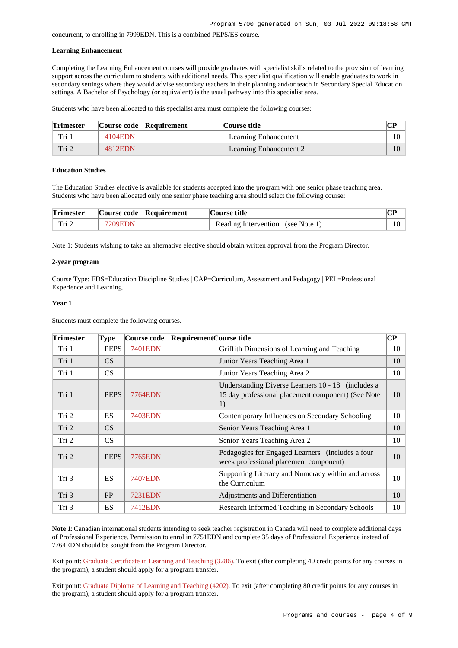concurrent, to enrolling in 7999EDN. This is a combined PEPS/ES course.

#### **Learning Enhancement**

Completing the Learning Enhancement courses will provide graduates with specialist skills related to the provision of learning support across the curriculum to students with additional needs. This specialist qualification will enable graduates to work in secondary settings where they would advise secondary teachers in their planning and/or teach in Secondary Special Education settings. A Bachelor of Psychology (or equivalent) is the usual pathway into this specialist area.

Students who have been allocated to this specialist area must complete the following courses:

| <b>Trimester</b> |         | Course code Requirement | Course title           | CР |
|------------------|---------|-------------------------|------------------------|----|
| Tri 1            | 4104EDN |                         | Learning Enhancement   |    |
| Tri 2            | 4812EDN |                         | Learning Enhancement 2 |    |

#### **Education Studies**

The Education Studies elective is available for students accepted into the program with one senior phase teaching area. Students who have been allocated only one senior phase teaching area should select the following course:

| <b>Trimester</b> |         | Course code Requirement | Course title                      |  |
|------------------|---------|-------------------------|-----------------------------------|--|
| Tri 2            | 7209EDN |                         | Reading Intervention (see Note 1) |  |

Note 1: Students wishing to take an alternative elective should obtain written approval from the Program Director.

#### **2-year program**

Course Type: EDS=Education Discipline Studies | CAP=Curriculum, Assessment and Pedagogy | PEL=Professional Experience and Learning.

#### **Year 1**

Students must complete the following courses.

| <b>Trimester</b> | <b>Type</b>     | Course code    | Requirement Course title |                                                                                                                | $\bf CP$ |
|------------------|-----------------|----------------|--------------------------|----------------------------------------------------------------------------------------------------------------|----------|
| Tri 1            | <b>PEPS</b>     | 7401EDN        |                          | Griffith Dimensions of Learning and Teaching                                                                   | 10       |
| Tri 1            | CS <sup>-</sup> |                |                          | Junior Years Teaching Area 1                                                                                   | 10       |
| Tri 1            | CS              |                |                          | Junior Years Teaching Area 2                                                                                   | 10       |
| Tri 1            | <b>PEPS</b>     | 7764EDN        |                          | Understanding Diverse Learners 10 - 18 (includes a<br>15 day professional placement component) (See Note<br>1) | 10       |
| Tri 2            | <b>ES</b>       | 7403EDN        |                          | Contemporary Influences on Secondary Schooling                                                                 | 10       |
| Tri 2            | CS              |                |                          | Senior Years Teaching Area 1                                                                                   | 10       |
| Tri 2            | CS              |                |                          | Senior Years Teaching Area 2                                                                                   | 10       |
| Tri 2            | <b>PEPS</b>     | 7765EDN        |                          | Pedagogies for Engaged Learners (includes a four<br>week professional placement component)                     | 10       |
| Tri 3            | <b>ES</b>       | <b>7407EDN</b> |                          | Supporting Literacy and Numeracy within and across<br>the Curriculum                                           | 10       |
| Tri 3            | PP              | 7231EDN        |                          | Adjustments and Differentiation                                                                                | 10       |
| Tri 3            | <b>ES</b>       | 7412EDN        |                          | Research Informed Teaching in Secondary Schools                                                                | 10       |

**Note 1**: Canadian international students intending to seek teacher registration in Canada will need to complete additional days of Professional Experience. Permission to enrol in 7751EDN and complete 35 days of Professional Experience instead of 7764EDN should be sought from the Program Director.

Exit point: [Graduate Certificate in Learning and Teaching \(3286\)](https://www148.griffith.edu.au/Search/Results?SearchText=3286). To exit (after completing 40 credit points for any courses in the program), a student should apply for a program transfer.

Exit point: [Graduate Diploma of Learning and Teaching \(4202\)](https://www148.griffith.edu.au/Search/Results?SearchText=4202). To exit (after completing 80 credit points for any courses in the program), a student should apply for a program transfer.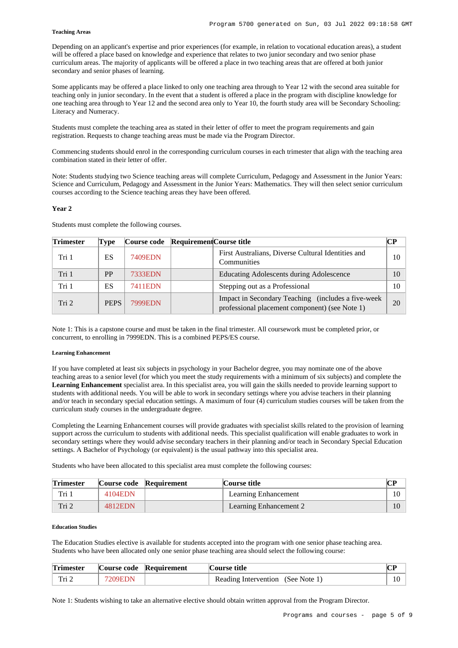#### **Teaching Areas**

Depending on an applicant's expertise and prior experiences (for example, in relation to vocational education areas), a student will be offered a place based on knowledge and experience that relates to two junior secondary and two senior phase curriculum areas. The majority of applicants will be offered a place in two teaching areas that are offered at both junior secondary and senior phases of learning.

Some applicants may be offered a place linked to only one teaching area through to Year 12 with the second area suitable for teaching only in junior secondary. In the event that a student is offered a place in the program with discipline knowledge for one teaching area through to Year 12 and the second area only to Year 10, the fourth study area will be Secondary Schooling: Literacy and Numeracy.

Students must complete the teaching area as stated in their letter of offer to meet the program requirements and gain registration. Requests to change teaching areas must be made via the Program Director.

Commencing students should enrol in the corresponding curriculum courses in each trimester that align with the teaching area combination stated in their letter of offer.

Note: Students studying two Science teaching areas will complete Curriculum, Pedagogy and Assessment in the Junior Years: Science and Curriculum, Pedagogy and Assessment in the Junior Years: Mathematics. They will then select senior curriculum courses according to the Science teaching areas they have been offered.

#### **Year 2**

Students must complete the following courses.

| <b>Trimester</b> | Type        | Course code Requirement Course title |                                                                                                      | CР |
|------------------|-------------|--------------------------------------|------------------------------------------------------------------------------------------------------|----|
| Tri 1            | ES.         | 7409EDN                              | First Australians, Diverse Cultural Identities and<br>Communities                                    | 10 |
| Tri 1            | <b>PP</b>   | 7333EDN                              | Educating Adolescents during Adolescence                                                             | 10 |
| Tri 1            | ES.         | 7411EDN                              | Stepping out as a Professional                                                                       | 10 |
| Tri 2            | <b>PEPS</b> | <b>7999EDN</b>                       | Impact in Secondary Teaching (includes a five-week<br>professional placement component) (see Note 1) | 20 |

Note 1: This is a capstone course and must be taken in the final trimester. All coursework must be completed prior, or concurrent, to enrolling in 7999EDN. This is a combined PEPS/ES course.

#### **Learning Enhancement**

If you have completed at least six subjects in psychology in your Bachelor degree, you may nominate one of the above teaching areas to a senior level (for which you meet the study requirements with a minimum of six subjects) and complete the **Learning Enhancement** specialist area. In this specialist area, you will gain the skills needed to provide learning support to students with additional needs. You will be able to work in secondary settings where you advise teachers in their planning and/or teach in secondary special education settings. A maximum of four (4) curriculum studies courses will be taken from the curriculum study courses in the undergraduate degree.

Completing the Learning Enhancement courses will provide graduates with specialist skills related to the provision of learning support across the curriculum to students with additional needs. This specialist qualification will enable graduates to work in secondary settings where they would advise secondary teachers in their planning and/or teach in Secondary Special Education settings. A Bachelor of Psychology (or equivalent) is the usual pathway into this specialist area.

Students who have been allocated to this specialist area must complete the following courses:

| <b>Trimester</b> |         | Course code Requirement | Course title           |  |
|------------------|---------|-------------------------|------------------------|--|
| Tri 1            | 4104EDN |                         | Learning Enhancement   |  |
| Tri 2            | 4812EDN |                         | Learning Enhancement 2 |  |

#### **Education Studies**

The Education Studies elective is available for students accepted into the program with one senior phase teaching area. Students who have been allocated only one senior phase teaching area should select the following course:

| <b>Trimester</b> |        | Course code Requirement | Course title                      |  |
|------------------|--------|-------------------------|-----------------------------------|--|
| Tri 2            | 209EDN |                         | Reading Intervention (See Note 1) |  |

Note 1: Students wishing to take an alternative elective should obtain written approval from the Program Director.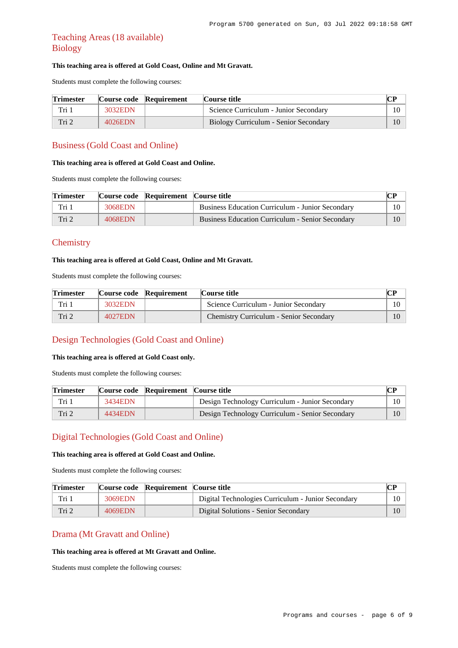## Teaching Areas (18 available) Biology

### **This teaching area is offered at Gold Coast, Online and Mt Gravatt.**

Students must complete the following courses:

| <b>Trimester</b> |         | Course code Requirement | Course title                          | CР |
|------------------|---------|-------------------------|---------------------------------------|----|
| Tri 1            | 3032EDN |                         | Science Curriculum - Junior Secondary |    |
| Tri 2            | 4026EDN |                         | Biology Curriculum - Senior Secondary | 10 |

## Business (Gold Coast and Online)

#### **This teaching area is offered at Gold Coast and Online.**

Students must complete the following courses:

| <b>Trimester</b> |         | Course code Requirement Course title |                                                         |  |
|------------------|---------|--------------------------------------|---------------------------------------------------------|--|
| Tri 1            | 3068EDN |                                      | <b>Business Education Curriculum - Junior Secondary</b> |  |
| Tri 2            | 4068EDN |                                      | Business Education Curriculum - Senior Secondary        |  |

## **Chemistry**

### **This teaching area is offered at Gold Coast, Online and Mt Gravatt.**

Students must complete the following courses:

| <b>Trimester</b> |         | Course code Requirement | Course title                                   | CР |
|------------------|---------|-------------------------|------------------------------------------------|----|
| Tri 1            | 3032EDN |                         | Science Curriculum - Junior Secondary          |    |
| Tri <sub>2</sub> | 4027EDN |                         | <b>Chemistry Curriculum - Senior Secondary</b> |    |

## Design Technologies (Gold Coast and Online)

### **This teaching area is offered at Gold Coast only.**

Students must complete the following courses:

| <b>Trimester</b> |         | Course code Requirement Course title |                                                 | $\bf CP$ |
|------------------|---------|--------------------------------------|-------------------------------------------------|----------|
| Tri 1            | 3434EDN |                                      | Design Technology Curriculum - Junior Secondary | 10       |
| Tri 2            | 4434EDN |                                      | Design Technology Curriculum - Senior Secondary | 10       |

## Digital Technologies (Gold Coast and Online)

### **This teaching area is offered at Gold Coast and Online.**

Students must complete the following courses:

| <b>Trimester</b> |         | Course code Requirement Course title |                                                    | CР |
|------------------|---------|--------------------------------------|----------------------------------------------------|----|
| Tri 1            | 3069EDN |                                      | Digital Technologies Curriculum - Junior Secondary |    |
| Tri 2            | 4069EDN |                                      | Digital Solutions - Senior Secondary               |    |

### Drama (Mt Gravatt and Online)

#### **This teaching area is offered at Mt Gravatt and Online.**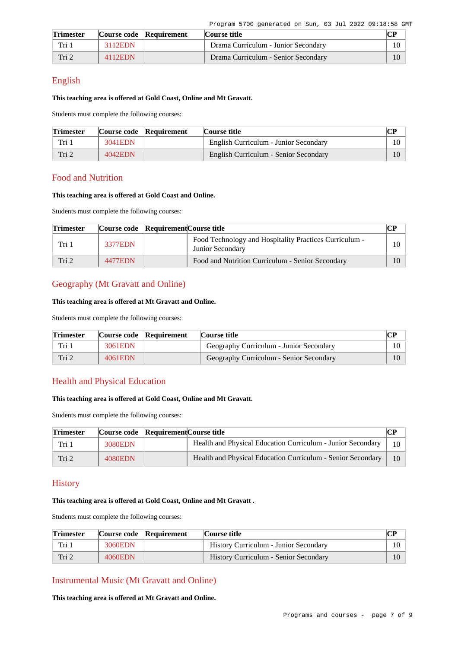| <b>Trimester</b> |         | Course code Requirement | Course title                        | rΡ |
|------------------|---------|-------------------------|-------------------------------------|----|
| Tri 1            | 3112EDN |                         | Drama Curriculum - Junior Secondary |    |
| Tri 2            | 4112EDN |                         | Drama Curriculum - Senior Secondary | 10 |

### English

### **This teaching area is offered at Gold Coast, Online and Mt Gravatt.**

Students must complete the following courses:

| <b>Trimester</b> |         | Course code Requirement | Course title                          |        |
|------------------|---------|-------------------------|---------------------------------------|--------|
| Tri 1            | 3041EDN |                         | English Curriculum - Junior Secondary | $10-1$ |
| Tri 2            | 4042EDN |                         | English Curriculum - Senior Secondary |        |

## Food and Nutrition

### **This teaching area is offered at Gold Coast and Online.**

Students must complete the following courses:

| <b>Trimester</b> | Course code Requirement Course title |                                                                            |    |
|------------------|--------------------------------------|----------------------------------------------------------------------------|----|
| Tri 1            | 3377EDN                              | Food Technology and Hospitality Practices Curriculum -<br>Junior Secondary | 10 |
| Tri 2            | 4477EDN                              | Food and Nutrition Curriculum - Senior Secondary                           | 10 |

## Geography (Mt Gravatt and Online)

### **This teaching area is offered at Mt Gravatt and Online.**

Students must complete the following courses:

| <b>Trimester</b> |         | Course code Requirement | Course title                            |    |
|------------------|---------|-------------------------|-----------------------------------------|----|
| Tri 1            | 3061EDN |                         | Geography Curriculum - Junior Secondary | 10 |
| Tri 2            | 4061EDN |                         | Geography Curriculum - Senior Secondary | 10 |

## Health and Physical Education

## **This teaching area is offered at Gold Coast, Online and Mt Gravatt.**

Students must complete the following courses:

| <b>Trimester</b> | Course code Requirement Course title |                                                             |  |
|------------------|--------------------------------------|-------------------------------------------------------------|--|
| Tri 1            | 3080EDN                              | Health and Physical Education Curriculum - Junior Secondary |  |
| Tri <sub>2</sub> | 4080EDN                              | Health and Physical Education Curriculum - Senior Secondary |  |

## **History**

### **This teaching area is offered at Gold Coast, Online and Mt Gravatt .**

Students must complete the following courses:

| <b>Trimester</b> |         | Course code Requirement | Course title                          | CР |
|------------------|---------|-------------------------|---------------------------------------|----|
| Tri 1            | 3060EDN |                         | History Curriculum - Junior Secondary |    |
| Tri 2            | 4060EDN |                         | History Curriculum - Senior Secondary | 10 |

## Instrumental Music (Mt Gravatt and Online)

**This teaching area is offered at Mt Gravatt and Online.**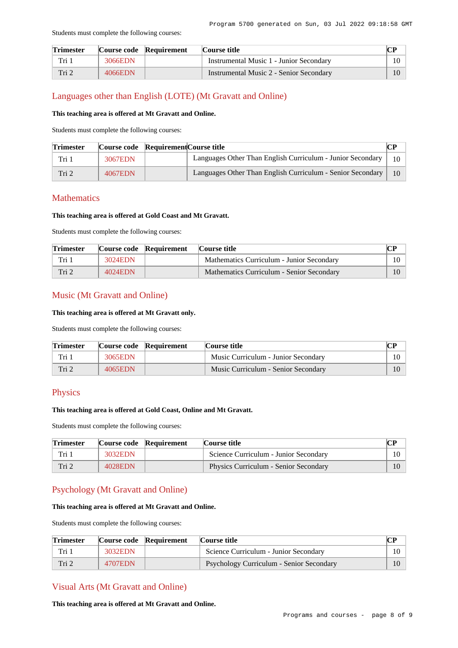#### Students must complete the following courses:

| <b>Trimester</b> |         | Course code Requirement | Course title                            | rр |
|------------------|---------|-------------------------|-----------------------------------------|----|
| Tri i            | 3066EDN |                         | Instrumental Music 1 - Junior Secondary | 10 |
| Tri 2            | 4066EDN |                         | Instrumental Music 2 - Senior Secondary | 10 |

### Languages other than English (LOTE) (Mt Gravatt and Online)

### **This teaching area is offered at Mt Gravatt and Online.**

Students must complete the following courses:

| <b>Trimester</b> | Course code Requirement Course title |                                                            |        |
|------------------|--------------------------------------|------------------------------------------------------------|--------|
| Tri 1            | 3067EDN                              | Languages Other Than English Curriculum - Junior Secondary | $10-1$ |
| Tri 2            | 4067EDN                              | Languages Other Than English Curriculum - Senior Secondary | 10     |

## **Mathematics**

### **This teaching area is offered at Gold Coast and Mt Gravatt.**

Students must complete the following courses:

| <b>Trimester</b> |         | Course code Requirement | Course title                              |        |
|------------------|---------|-------------------------|-------------------------------------------|--------|
| Tri 1            | 3024EDN |                         | Mathematics Curriculum - Junior Secondary | $10-1$ |
| Tri 2            | 4024EDN |                         | Mathematics Curriculum - Senior Secondary | 10     |

### Music (Mt Gravatt and Online)

#### **This teaching area is offered at Mt Gravatt only.**

Students must complete the following courses:

| <b>Trimester</b> |         | Course code Requirement | Course title                        |    |
|------------------|---------|-------------------------|-------------------------------------|----|
| Tri 1            | 3065EDN |                         | Music Curriculum - Junior Secondary | 10 |
| Tri 2            | 4065EDN |                         | Music Curriculum - Senior Secondary |    |

## Physics

### **This teaching area is offered at Gold Coast, Online and Mt Gravatt.**

Students must complete the following courses:

| <b>Trimester</b> |         | Course code Requirement | Course title                          |    |
|------------------|---------|-------------------------|---------------------------------------|----|
| Tri 1            | 3032EDN |                         | Science Curriculum - Junior Secondary | 10 |
| Tri 2            | 4028EDN |                         | Physics Curriculum - Senior Secondary |    |

## Psychology (Mt Gravatt and Online)

#### **This teaching area is offered at Mt Gravatt and Online.**

Students must complete the following courses:

| <b>Trimester</b> |         | Course code Requirement | Course title                                    |  |
|------------------|---------|-------------------------|-------------------------------------------------|--|
| Tri 1            | 3032EDN |                         | Science Curriculum - Junior Secondary           |  |
| Tri 2            | 4707EDN |                         | <b>Psychology Curriculum - Senior Secondary</b> |  |

### Visual Arts (Mt Gravatt and Online)

**This teaching area is offered at Mt Gravatt and Online.**